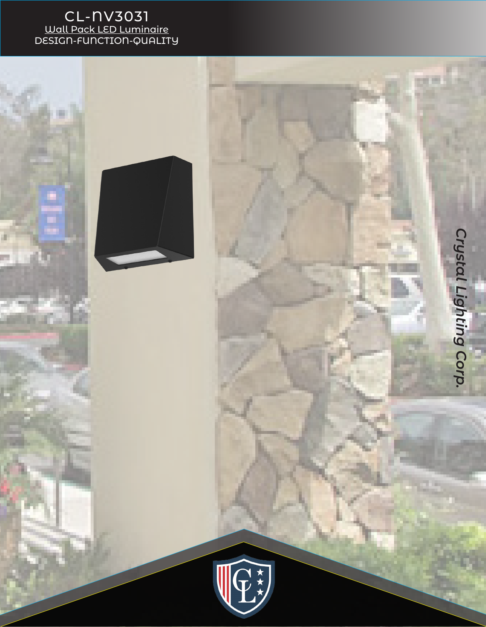## CL-NV3031 Wall Pack LED Luminaire DESIGN-FUNCTION-QUALITY

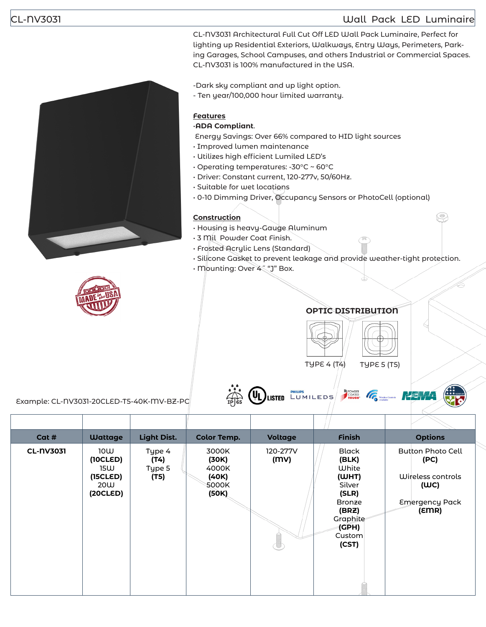### CL-NV3031 Wall Pack LED Luminaire

CL-NV3031 Architectural Full Cut Off LED Wall Pack Luminaire, Perfect for lighting up Residential Exteriors, Walkways, Entry Ways, Perimeters, Parking Garages, School Campuses, and others Industrial or Commercial Spaces. CL-NV3031 is 100% manufactured in the USA.

-Dark sky compliant and up light option.

- Ten year/100,000 hour limited warranty.

# **Features**

•**ADA Compliant**.

Energy Savings: Over 66% compared to HID light sources

- Improved lumen maintenance
- Utilizes high efficient Lumiled LED's
- Operating temperatures: -30°C ~ 60°C
- Driver: Constant current, 120-277v, 50/60Hz.
- Suitable for wet locations
- 0-10 Dimming Driver, Occupancy Sensors or PhotoCell (optional)

#### **Construction**

- Housing is heavy-Gauge Aluminum
- 3 Mil Powder Coat Finish.
- Frosted Acrylic Lens (Standard)
- Silicone Gasket to prevent leakage and provide weather-tight protection.
- Mounting: Over 4˝ "J" Box.



### **OPTIC DISTRIBUTION**



Example: CL-NV3031-20CLED-T5-40K-MV-BZ-PC